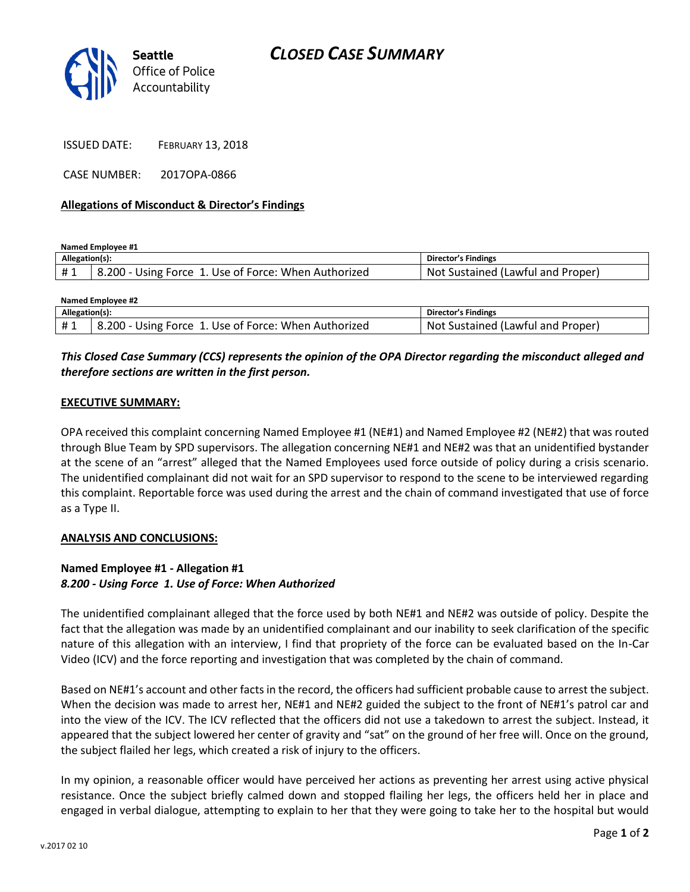

ISSUED DATE: FEBRUARY 13, 2018

CASE NUMBER: 2017OPA-0866

#### **Allegations of Misconduct & Director's Findings**

**Named Employee #1**

| Allegation(s): |                                                               | Director's Findings                     |
|----------------|---------------------------------------------------------------|-----------------------------------------|
| ᅲᆚ             | 200 -<br>Use of Force: When Authorized<br>· Using Force ·<br> | .Not<br>Proper<br>Sustained (Lawful and |

| <b>Named Employee #2</b> |                                                      |                                   |  |
|--------------------------|------------------------------------------------------|-----------------------------------|--|
| Allegation(s):           |                                                      | Director's Findings               |  |
| #1                       | 8.200 - Using Force 1. Use of Force: When Authorized | Not Sustained (Lawful and Proper) |  |

# *This Closed Case Summary (CCS) represents the opinion of the OPA Director regarding the misconduct alleged and therefore sections are written in the first person.*

### **EXECUTIVE SUMMARY:**

OPA received this complaint concerning Named Employee #1 (NE#1) and Named Employee #2 (NE#2) that was routed through Blue Team by SPD supervisors. The allegation concerning NE#1 and NE#2 was that an unidentified bystander at the scene of an "arrest" alleged that the Named Employees used force outside of policy during a crisis scenario. The unidentified complainant did not wait for an SPD supervisor to respond to the scene to be interviewed regarding this complaint. Reportable force was used during the arrest and the chain of command investigated that use of force as a Type II.

#### **ANALYSIS AND CONCLUSIONS:**

## **Named Employee #1 - Allegation #1** *8.200 - Using Force 1. Use of Force: When Authorized*

The unidentified complainant alleged that the force used by both NE#1 and NE#2 was outside of policy. Despite the fact that the allegation was made by an unidentified complainant and our inability to seek clarification of the specific nature of this allegation with an interview, I find that propriety of the force can be evaluated based on the In-Car Video (ICV) and the force reporting and investigation that was completed by the chain of command.

Based on NE#1's account and other facts in the record, the officers had sufficient probable cause to arrest the subject. When the decision was made to arrest her, NE#1 and NE#2 guided the subject to the front of NE#1's patrol car and into the view of the ICV. The ICV reflected that the officers did not use a takedown to arrest the subject. Instead, it appeared that the subject lowered her center of gravity and "sat" on the ground of her free will. Once on the ground, the subject flailed her legs, which created a risk of injury to the officers.

In my opinion, a reasonable officer would have perceived her actions as preventing her arrest using active physical resistance. Once the subject briefly calmed down and stopped flailing her legs, the officers held her in place and engaged in verbal dialogue, attempting to explain to her that they were going to take her to the hospital but would